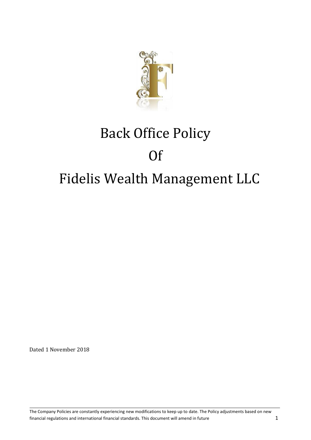

# Back Office Policy Of Fidelis Wealth Management LLC

Dated 1 November 2018

The Company Policies are constantly experiencing new modifications to keep up to date. The Policy adjustments based on new financial regulations and international financial standards. This document will amend in future 150 and 150 and 150 and 160 and 160 and 160 and 160 and 160 and 160 and 160 and 160 and 160 and 160 and 160 and 160 and 160 an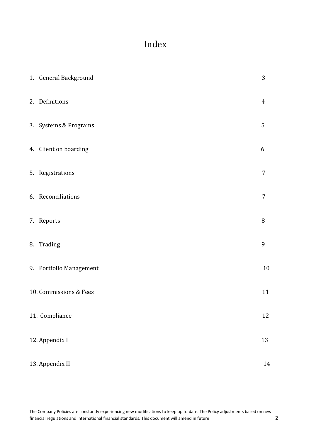# Index

| 1. General Background   | 3              |
|-------------------------|----------------|
| 2. Definitions          | $\overline{4}$ |
| 3. Systems & Programs   | 5              |
| 4. Client on boarding   | 6              |
| 5. Registrations        | $\overline{7}$ |
| 6. Reconciliations      | $\overline{7}$ |
| 7. Reports              | $\, 8$         |
| 8. Trading              | 9              |
| 9. Portfolio Management | 10             |
| 10. Commissions & Fees  | 11             |
| 11. Compliance          | 12             |
| 12. Appendix I          | 13             |
| 13. Appendix II         | 14             |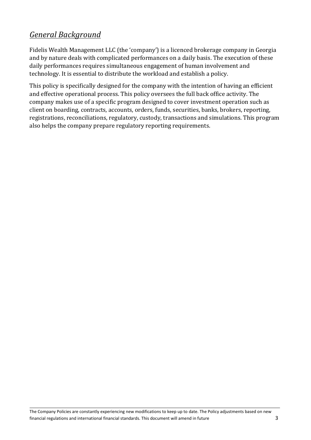### *General Background*

Fidelis Wealth Management LLC (the 'company') is a licenced brokerage company in Georgia and by nature deals with complicated performances on a daily basis. The execution of these daily performances requires simultaneous engagement of human involvement and technology. It is essential to distribute the workload and establish a policy.

This policy is specifically designed for the company with the intention of having an efficient and effective operational process. This policy oversees the full back office activity. The company makes use of a specific program designed to cover investment operation such as client on boarding, contracts, accounts, orders, funds, securities, banks, brokers, reporting, registrations, reconciliations, regulatory, custody, transactions and simulations. This program also helps the company prepare regulatory reporting requirements.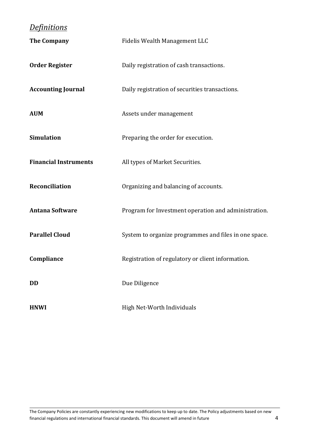## *Definitions*

| <b>The Company</b>           | Fidelis Wealth Management LLC                         |
|------------------------------|-------------------------------------------------------|
| <b>Order Register</b>        | Daily registration of cash transactions.              |
| <b>Accounting Journal</b>    | Daily registration of securities transactions.        |
| <b>AUM</b>                   | Assets under management                               |
| <b>Simulation</b>            | Preparing the order for execution.                    |
| <b>Financial Instruments</b> | All types of Market Securities.                       |
| <b>Reconciliation</b>        | Organizing and balancing of accounts.                 |
| <b>Antana Software</b>       | Program for Investment operation and administration.  |
| <b>Parallel Cloud</b>        | System to organize programmes and files in one space. |
| Compliance                   | Registration of regulatory or client information.     |
| <b>DD</b>                    | Due Diligence                                         |
| <b>HNWI</b>                  | High Net-Worth Individuals                            |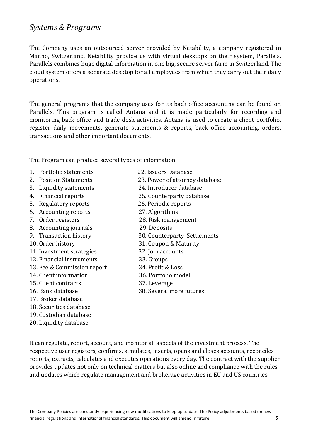### *Systems & Programs*

The Company uses an outsourced server provided by Netability, a company registered in Manno, Switzerland. Netability provide us with virtual desktops on their system, Parallels. Parallels combines huge digital information in one big, secure server farm in Switzerland. The cloud system offers a separate desktop for all employees from which they carry out their daily operations.

The general programs that the company uses for its back office accounting can be found on Parallels. This program is called Antana and it is made particularly for recording and monitoring back office and trade desk activities. Antana is used to create a client portfolio, register daily movements, generate statements & reports, back office accounting, orders, transactions and other important documents.

The Program can produce several types of information:

- 1. Portfolio statements 22. Issuers Database
- 
- 3. Liquidity statements 24. Introducer database
- 
- 5. Regulatory reports 26. Periodic reports
- 6. Accounting reports 27. Algorithms
- 
- 8. Accounting journals 29. Deposits
- 
- 
- 11. Investment strategies 32. Join accounts
- 12. Financial instruments 33. Groups
- 13. Fee & Commission report 34. Profit & Loss
- 14. Client information 36. Portfolio model
- 15. Client contracts 37. Leverage
- 
- 17. Broker database
- 18. Securities database
- 19. Custodian database
- 20. Liquidity database
- 
- 2. Position Statements 23. Power of attorney database
	-
- 4. Financial reports 25. Counterparty database
	-
	-
- 7. Order registers 28. Risk management
	-
- 9. Transaction history 30. Counterparty Settlements
- 10. Order history 31. Coupon & Maturity
	-
	-
	-
	-
	-
- 16. Bank database 38. Several more futures

It can regulate, report, account, and monitor all aspects of the investment process. The respective user registers, confirms, simulates, inserts, opens and closes accounts, reconciles reports, extracts, calculates and executes operations every day. The contract with the supplier provides updates not only on technical matters but also online and compliance with the rules and updates which regulate management and brokerage activities in EU and US countries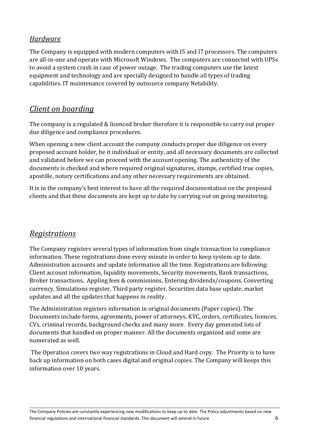### *Hardware*

The Company is equipped with modern computers with I5 and I7 processors. The computers are all-in-one and operate with Microsoft Windows. The computers are connected with UPSs to avoid a system crash in case of power outage. The trading computers use the latest equipment and technology and are specially designed to handle all types of trading capabilities. IT maintenance covered by outsource company Netability.

### *Client on boarding*

The company is a regulated & licenced broker therefore it is responsible to carry out proper due diligence and compliance procedures.

When opening a new client account the company conducts proper due diligence on every proposed account holder, be it individual or entity, and all necessary documents are collected and validated before we can proceed with the account opening. The authenticity of the documents is checked and where required original signatures, stamps, certified true copies, apostille, notary certifications and any other necessary requirements are obtained.

It is in the company's best interest to have all the required documentation on the proposed clients and that these documents are kept up to date by carrying out on going monitoring.

### *Registrations*

The Company registers several types of information from single transaction to compliance information. These registrations done every minute in order to keep system up to date. Administration accounts and update information all the time. Registrations are following: Client account information, liquidity movements, Security movements, Bank transactions, Broker transactions, Appling fees & commissions, Entering dividends/coupons, Converting currency, Simulations register, Third party register, Securities data base update, market updates and all the updates that happens in reality.

The Administration registers information in original documents (Paper copies). The Documents include forms, agreements, power of attorneys, KYC, orders, certificates, licences, CVs, criminal records, background checks and many more. Every day generated lots of documents that handled on proper manner. All the documents organized and some are numerated as well.

The Operation covers two way registrations in Cloud and Hard copy. The Priority is to have back up information on both cases digital and original copies. The Company will keeps this information over 10 years.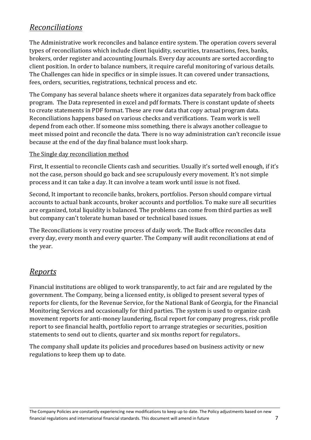### *Reconciliations*

The Administrative work reconciles and balance entire system. The operation covers several types of reconciliations which include client liquidity, securities, transactions, fees, banks, brokers, order register and accounting Journals. Every day accounts are sorted according to client position. In order to balance numbers, it require careful monitoring of various details. The Challenges can hide in specifics or in simple issues. It can covered under transactions, fees, orders, securities, registrations, technical process and etc.

The Company has several balance sheets where it organizes data separately from back office program. The Data represented in excel and pdf formats. There is constant update of sheets to create statements in PDF format. These are row data that copy actual program data. Reconciliations happens based on various checks and verifications. Team work is well depend from each other. If someone miss something, there is always another colleague to meet missed point and reconcile the data. There is no way administration can't reconcile issue because at the end of the day final balance must look sharp.

#### The Single day reconciliation method

First, It essential to reconcile Clients cash and securities. Usually it's sorted well enough, if it's not the case, person should go back and see scrupulously every movement. It's not simple process and it can take a day. It can involve a team work until issue is not fixed.

Second, It important to reconcile banks, brokers, portfolios. Person should compare virtual accounts to actual bank accounts, broker accounts and portfolios. To make sure all securities are organized, total liquidity is balanced. The problems can come from third parties as well but company can't tolerate human based or technical based issues.

The Reconciliations is very routine process of daily work. The Back office reconciles data every day, every month and every quarter. The Company will audit reconciliations at end of the year.

### *Reports*

Financial institutions are obliged to work transparently, to act fair and are regulated by the government. The Company, being a licensed entity, is obliged to present several types of reports for clients, for the Revenue Service, for the National Bank of Georgia, for the Financial Monitoring Services and occasionally for third parties. The system is used to organize cash movement reports for anti-money laundering, fiscal report for company progress, risk profile report to see financial health, portfolio report to arrange strategies or securities, position statements to send out to clients, quarter and six months report for regulators..

The company shall update its policies and procedures based on business activity or new regulations to keep them up to date.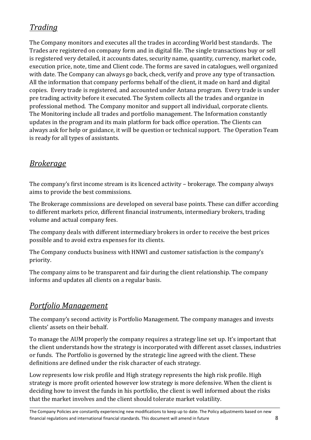# *Trading*

The Company monitors and executes all the trades in according World best standards. The Trades are registered on company form and in digital file. The single transactions buy or sell is registered very detailed, it accounts dates, security name, quantity, currency, market code, execution price, note, time and Client code. The forms are saved in catalogues, well organized with date. The Company can always go back, check, verify and prove any type of transaction. All the information that company performs behalf of the client, it made on hard and digital copies. Every trade is registered, and accounted under Antana program. Every trade is under pre trading activity before it executed. The System collects all the trades and organize in professional method. The Company monitor and support all individual, corporate clients. The Monitoring include all trades and portfolio management. The Information constantly updates in the program and its main platform for back office operation. The Clients can always ask for help or guidance, it will be question or technical support. The Operation Team is ready for all types of assistants.

### *Brokerage*

The company's first income stream is its licenced activity – brokerage. The company always aims to provide the best commissions.

The Brokerage commissions are developed on several base points. These can differ according to different markets price, different financial instruments, intermediary brokers, trading volume and actual company fees.

The company deals with different intermediary brokers in order to receive the best prices possible and to avoid extra expenses for its clients.

The Company conducts business with HNWI and customer satisfaction is the company's priority.

The company aims to be transparent and fair during the client relationship. The company informs and updates all clients on a regular basis.

### *Portfolio Management*

The company's second activity is Portfolio Management. The company manages and invests clients' assets on their behalf.

To manage the AUM properly the company requires a strategy line set up. It's important that the client understands how the strategy is incorporated with different asset classes, industries or funds. The Portfolio is governed by the strategic line agreed with the client. These definitions are defined under the risk character of each strategy.

Low represents low risk profile and High strategy represents the high risk profile. High strategy is more profit oriented however low strategy is more defensive. When the client is deciding how to invest the funds in his portfolio, the client is well informed about the risks that the market involves and the client should tolerate market volatility.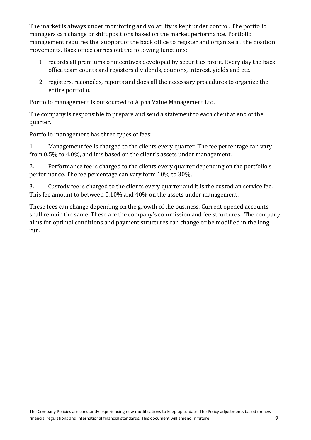The market is always under monitoring and volatility is kept under control. The portfolio managers can change or shift positions based on the market performance. Portfolio management requires the support of the back office to register and organize all the position movements. Back office carries out the following functions:

- 1. records all premiums or incentives developed by securities profit. Every day the back office team counts and registers dividends, coupons, interest, yields and etc.
- 2. registers, reconciles, reports and does all the necessary procedures to organize the entire portfolio.

Portfolio management is outsourced to Alpha Value Management Ltd.

The company is responsible to prepare and send a statement to each client at end of the quarter.

Portfolio management has three types of fees:

1. Management fee is charged to the clients every quarter. The fee percentage can vary from 0.5% to 4.0%, and it is based on the client's assets under management.

2. Performance fee is charged to the clients every quarter depending on the portfolio's performance. The fee percentage can vary form 10% to 30%,

3. Custody fee is charged to the clients every quarter and it is the custodian service fee. This fee amount to between 0.10% and 40% on the assets under management.

These fees can change depending on the growth of the business. Current opened accounts shall remain the same. These are the company's commission and fee structures. The company aims for optimal conditions and payment structures can change or be modified in the long run.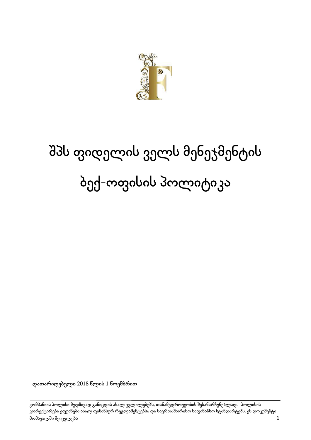

# შპს ფიდელის ველს მენეჯმენტის ბექ-ოფისის პოლიტიკა

დათარიღებული 2018 წლის 1 ნოემბრით

კომპანიის პოლისი მუდმივად განიცდის ახალ ცვლილებებს, თანამედროვეობის შესანარჩუნებლად. პოლისის კორექტირება ეფუძნება ახალ ფინანსურ რეგლამენტებსა და საერთაშორისო საფინანსო სტანდარტებს. ეს დოკუმენტი მომავალში შეიცვლება 1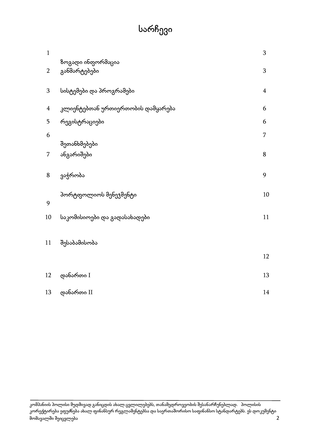# სარჩევი

| $\mathbf{1}$   |                                   | 3              |
|----------------|-----------------------------------|----------------|
| $\overline{2}$ | ზოგადი ინფორმაცია<br>განმარტებები | 3              |
| 3              | სისტემები და პროგრამები           | $\overline{4}$ |
| $\overline{4}$ | კლიენტებთან ურთიერთობის დამყარება | 6              |
| 5              | რეგისტრაციები                     | 6              |
| 6              | შეთანხმებები                      | 7              |
| 7              | ანგარიშები                        | 8              |
| 8              | ვაჭრობა                           | 9              |
| 9              | პორტფოლიოს მენეჯმენტი             | 10             |
| 10             | საკომისიოები და გადასახადები      | $11\,$         |
| 11             | შესაბამისობა                      |                |
|                |                                   | 12             |
| 12             | დანართი $I$                       | 13             |
| 13             | დანართი II                        | 14             |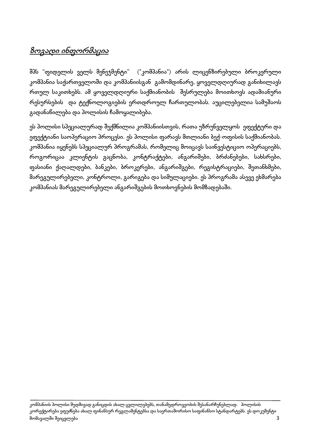# <mark>ზოგადი ინფორმაცია</mark>

შპს "ფიდელის ველს მენეჯმენტი" ("კომპანია") არის ლიცენზირებული ბროკერული კომპანია საქართველოში და კომპანიისგან გამომდინარე, ყოველდღიურად განიხილავს რთულ საკითხებს. ამ ყოველდღიური საქმიანობის შესრულება მოითხოვს ადამიანური რესურსების და ტექნოლოგიების ერთდროულ ჩართულობას. აუცილებელია სამუშაოს გადანაწილება და პოლისის ჩამოყალიბება.

ეს პოლისი სპეციალურად შექმნილია კომპანიისთვის, რათა უზრუნველყოს ეფექტური და ეფექტიანი საოპერაციო პროცესი. ეს პოლისი ფარავს მთლიანი ბექ-ოფისის საქმიანობას. კომპანია იყენებს სპეციალურ პროგრამას, რომელიც მოიცავს საინვესტიციო ოპერაციებს, როგორიცაა კლიენტის გაცნობა, კონტრაქტები, ანგარიშები, ბრძანებები, სახსრები, ფასიანი ქაღალდები, ბანკები, ბროკერები, ანგარიშგები, რეგისტრაციები, შეთანხმები, მარეგულირებელი, კონტროლი, გარიგება და სიმულაციები. ეს პროგრამა ასევე ეხმარება კომპანიას მარეგულირებელი ანგარიშგების მოთხოვნების მომზადებაში.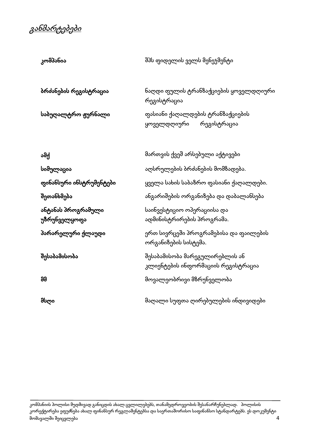განმარტებები

| კომპანია                           | შპს ფიდელის ველს მენეჯმენტი                                          |
|------------------------------------|----------------------------------------------------------------------|
| ბრძანების რეგისტრაცია              | ნაღდი ფულის ტრანზაქციების ყოველდღიური<br>რეგისტრაცია                 |
| საბუღალტრო ჟურნალი                 | ფასიანი ქაღალდების ტრანზაქციების<br>რეგისტრაცია<br>ყოველდღიური       |
| ამქ                                | მართვის ქვეშ არსებული აქტივები                                       |
| სიმულაცია                          | აღსრულების ბრძანების მომზადება.                                      |
| ფინანსური ინსტრუმენტები            | ყველა სახის საბაზრო ფასიანი ქაღალდები.                               |
| შეთანხმება                         | ანგარიშების ორგანიზება და დაბალანსება                                |
| ანტანას პროგრამული<br>უზრუნველყოფა | საინვესტიციო ოპერაციისა და<br>ადმინისტრირების პროგრამა.              |
| პარარელური ქლაუდი                  | ერთ სივრცეში პროგრამებისა და ფაილების<br>ორგანიზების სისტემა.        |
| შესაბამისობა                       | შესაბამისობა მარეგულირებლის ან<br>კლიენტების ინფორმაციის რეგისტრაცია |
| 99                                 | მოვალეობრივი მზრუნველობა                                             |
| მსღი                               | მაღალი სუფთა ღირებულების ინდივიდები                                  |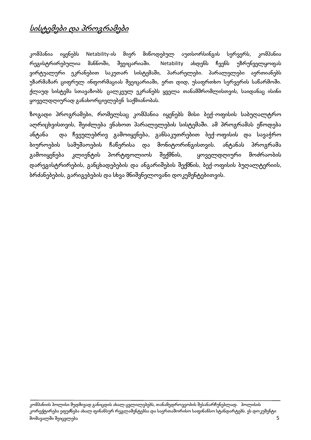# სისტემები და პროგრამები

კომპანია იყენებს Netability-ის მიერ მიწოდებულ აუთსორსინგის სერვერს, კომპანია რეგისტრირებულია მანნოში, შვეიცარიაში. Netability ახდენს ჩვენს უზრუნველყოფას ვირტუალური ეკრანებით საკუთარ სისტემაში, პარარელები. პარალელები აერთიანებს უზარმაზარ ციფრულ ინფორმაციას შვეიცარიაში, ერთ დიდ, უსაფრთხო სერვერის საწარმოში. ქლაუდ სისტემა სთავაზობს ცალკეულ ეკრანებს ყველა თანამშრომლისთვის, საიდანაც ისინი ყოველდღიურად განახორციელებენ საქმიანობას.

ზოგადი პროგრამები, რომელსაც კომპანია იყენებს მისი ბექ-ოფისის საბუღალტრო აღრიცხვისთვის, შეიძლება ვნახოთ პარალელების სისტემაში. ამ პროგრამას ეწოდება ანტანა და ჩვეულებრივ გამოიყენება, განსაკუთრებით ბექ-ოფისის და სავაჭრო ბიუროების სამუშაოების ჩაწერისა და მონიტორინგისთვის. ანტანას პროგრამა გამოიყენება კლიენტის პორტფოლიოს შექმნის, ყოველდღიური მოძრაობის დარეგისტრირების, განცხადებების და ანგარიშების შექმნის, ბექ-ოფისის ბუღალტერიის, ბრძანებების, გარიგებების და სხვა მნიშვნელოვანი დოკუმენტებითვის.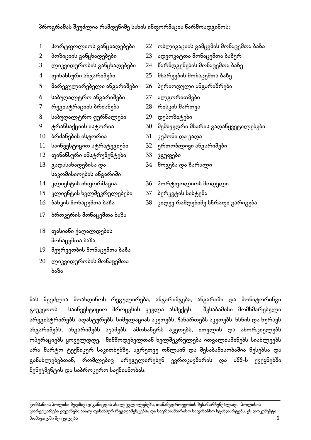### პროგრამას შეუძლია რამდენიმე სახის ინფორმაცია წარმოადგინოს:

- 
- 
- 3 ლიკვიდურობის განცხადებები 24 წარმდგენების მონაცემთა ბაზე
- 
- 5 მარეგულირებელი ანგარიშები 26 პერიოდული ანგარიშრები
- 6 საბუღალტრო ანგარიშები 27 ალგორითმები
- 7 რეგისტრაციის ბრძანება 28 რისკის მართვა
- 8 საბუღალტრო ჟურნალები 29 დეპოზიტები
- 
- 10 ბრძანების ისტორია 31 კუპონი და ვადა
- 11 საინვესტიციო სტრატეგიები 32 ერთობლივი ანგარიშები
- 12 ფინანსური ინსტრუმენტები 33 ჯგუფები
- 13 გადასახადებისა და საკომისიოების ანგარიში
- 
- 15 კლიენტის ხელშეკრულებები 37 ბერკეტის სისტემა
- 
- 17 ბროკერის მონაცემთა ბაზა
- 18 ფასიანი ქაღალდების მონაცემთა ბაზა
- 19 მეურვეობის მონაცემთა ბაზა
- 20 ლიკვიდურობის მონაცემთა ბაზა
- 1 პორტფოლიოს განცხადებები 22 ობლიგაციის გამცემის მონაცემთა ბაზა
- 2 პოზიციის განცხადებები 23 ადვოკატთა მონაცემთა ბაზერ
	-
- 4 ფინანსური ანგარიშები 25 მხარეების მონაცემთა ბაზე
	-
	-
	-
	-
- 9 ტრანსაქციის ისტორია 30 შემხვედრი მხარის გადაწყვეტილებები
	-
	-
	-
	- 34 მოგება და ზარალი
- 14 კლიენტის ინფორმაცია 36 პორტფოლიოს მოდელი
	-
- 16 ბანკის მონაცემთა ბაზა 38 კიდევ რამდენიმე სწრაფი გარიგება

მას შეუძლია მოახდინოს რეგულირება, ანგარიშგება, ანგარიში და მონიტორინგი გაუკეთოს საინვესტიციო პროცესის ყველა ასპექტს. შესაბამისი მომხმარებელი არეგისტრირებს, ადასტურებს, სიმულაციას აკეთებს, ჩანართებს აკეთებს, ხსნის და ხურავს ანგარიშებს, ანგარიშებს აჯამებს, ამონაწერს აკეთებს, ითვლის და ახორციელებს ოპერაციებს ყოველდღე. მიმწოდებელთან ხელშეკრულება ითვალისწინებს სიახლეებს არა მარტო ტექნიკურ საკითხებზე, აგრეთვე ონლაინ და შესაბამისობაშია წესებსა და განახლებებთან, რომლებიც არეგულირებენ ევროკავშირის და აშშ-ს ქვეყნებში მენეჯმენტის და საბროკერო საქმიანობას.

კომპანიის პოლისი მუდმივად განიცდის ახალ ცვლილებებს, თანამედროვეობის შესანარჩუნებლად. პოლისის კორექტირება ეფუძნება ახალ ფინანსურ რეგლამენტებსა და საერთაშორისო საფინანსო სტანდარტებს. ეს დოკუმენტი მომავალში შეიცვლება 6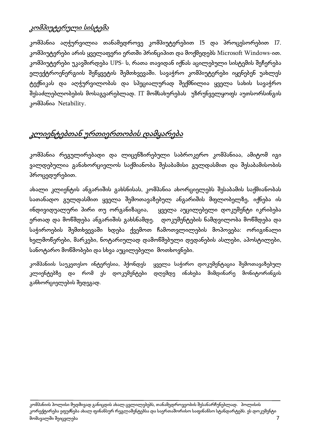### კომპიუტერული სისტემა

კომპანია აღჭურვილია თანამედროვე კომპიუტერებით I5 და პროცესორებით I7. კომპიუტერები არის ყველაფერი ერთში პრინციპით და მოქმედებს Microsoft Windows-ით. კომპიუტერები უკავშირდება UPS- ს, რათა თავიდან იქნას აცილებული სისტემის შეჩერება ელექტროენერგიის შეწყვეტის შემთხვევაში. სავაჭრო კომპიუტერები იყენებენ უახლეს ტექნიკას და აღჭურვილობას და სპეციალურად შექმნილია ყველა სახის სავაჭრო შესაძლებლობების მოსაგვარებლად. IT მომსახურებას უზრუნველყოფს აუთსორსინგის კომპანია Netability.

## კლიენტებთან ურთიერთობის დამყარება

კომპანია რეგულირებადი და ლიცენზირებული საბროკერო კომპანიაა, ამიტომ იგი ვალდებულია განახორციელოს საქმიანობა შესაბამისი გულდასმით და შესაბამისობის პროცედურებით.

ახალი კლიენტის ანგარიშის გახსნისას, კომპანია ახორციელებს შესაბამის საქმიანობას სათანადო გულდასმით ყველა შემოთავაზებულ ანგარიშის მფლობელზე, იქნება ის ინდივიდუალური პირი თუ ორგანიზაცია, ყველა აუცილებელი დოკუმენტი იკრიბება ერთად და მოწმდება ანგარიშის გახსნამდე. დოკუმენტების ნამდვილობა მოწმდება და საჭიროების შემთხვევაში ხდება ქვემოთ ჩამოთვლილების მოპოვება: ორიგინალი ხელმოწერები, მარკები, ნოტარიულად დამოწმებული დედანების ასლები, აპოსტილები, სანოტარო მოწმობები და სხვა აუცილებელი მოთხოვნები.

კომპანიის საუკეთესო ინტერესია, ჰქონდეს ყველა საჭირო დოკუმენტაცია შემოთავაზებულ კლიენტებზე და რომ ეს დოკუმენტები დღემდე ინახება მიმდინარე მონიტორინგის განხორციელების შედეგად.

კომპანიის პოლისი მუდმივად განიცდის ახალ ცვლილებებს, თანამედროვეობის შესანარჩუნებლად. პოლისის კორექტირება ეფუძნება ახალ ფინანსურ რეგლამენტებსა და საერთაშორისო საფინანსო სტანდარტებს. ეს დოკუმენტი მომავალში შეიცვლება 7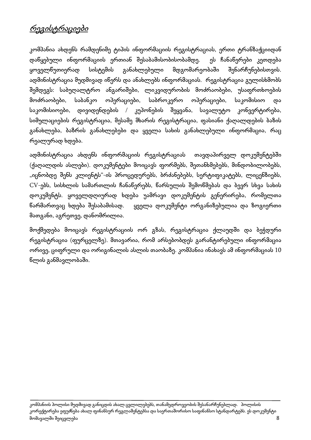# რეგისტრაციები

კომპანია ახდენს რამდენიმე ტიპის ინფორმაციის რეგისტრაციას, ერთი ტრანზაქციიდან დაწყებული ინფორმაციის ერთიან შესაბამისობისობამდე. ეს ჩანაწერები კეთდება ყოველწუთიერად სისტემის განახლებული მდგომარეობაში შენარჩუნებისთვის. ადმინისტრაცია მუდმივად იწერს და ანახლებს ინფორმაციას. რეგისტრაცია გულისხმობს შემდეგს: საბუღალტრო ანგარიშები, ლიკვიდურობის მოძრაობები, უსაფრთხოების მოძრაობები, საბანკო ოპერაციები, საბროკერო ოპერაციები, საკომისიო და საკომისიოები, დივიდენდების / კუპონების შეყვანა, სავალუტო კონვერტირება, სიმულაციების რეგისტრაცია, მესამე მხარის რეგისტრაცია, ფასიანი ქაღალდების ბაზის განახლება, ბაზრის განახლებები და ყველა სახის განახლებული ინფორმაცია, რაც რეალურად ხდება.

ადმინისტრაცია ახდენს ინფორმაციის რეგისტრაციას თავდაპირველ დოკუმენტებში (ქაღალდის ასლები). დოკუმენტები მოიცავს ფორმებს, შეთანხმებებს, მინდობილობებს, "იცნობდე შენს კლიენტს"-ის პროცედურებს, ბრძანებებს, სერტიფიკატებს, ლიცენზიებს, CV-ებს, სისხლის სამართლის ჩანაწერებს, წარსულის შემოწმებას და ბევრ სხვა სახის დოკუმენტს. ყოველდღიურად ხდება უამრავი დოკუმენტის გენერირება, რომელთა წარმართვაც ხდება შესაბამისად. ყველა დოკუმენტი ორგანიზებულია და ზოგიერთი მათგანი, აგრეთვე, დანომრილია.

მოქმედება მოიცავს რეგისტრაციის ორ გზას, რეგისტრაცია ქლაუდში და ბეჭდური რეგისტრაცია (ფურცელზე). მთავარია, რომ არსებობდეს გარანტირებული ინფორმაცია ორივე, ციფრული და ორიგინალის ასლის თაობაზე. კომპანია ინახავს ამ ინფორმაციას 10 წლის განმავლობაში.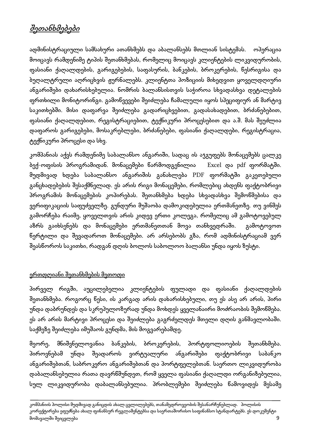# შეთანხმებები

ადმინისტრაციული სამსახური ათანხმებს და აბალანსებს მთლიან სისტემას. ოპერაცია მოიცავს რამდენიმე ტიპის შეთანხმებას, რომელიც მოიცავს კლიენტების ლიკვიდურობის, ფასიანი ქაღალდების, გარიგებების, საფასურის, ბანკების, ბროკერების, წესრიგისა და ბუღალტრული აღრიცხვის ჟურნალებს. კლიენტთა პოზიციის მიხედვით ყოველდღიური ანგარიშები დახარისხებულია. ნომრის ბალანსისთვის საჭიროა სხვადასხვა დეტალების ფრთხილი მონიტორინგი. გამოწვევები შეიძლება ჩამალული იყოს სპეციფიურ ან მარტივ საკითხებში. მისი დაფარვა შეიძლება გადარიცხვებით, გადასახადებით, ბრძანებებით, ფასიანი ქაღალდებით, რეგისტრაციებით, ტექნიკური პროცესებით და ა.შ. მას შეუძლია დაფაროს გარიგებები, მოსაკრებლები, ბრძანებები, ფასიანი ქაღალდები, რეგისტრაცია, ტექნიკური პროცესი და სხვ.

კომპანიას აქვს რამდენიმე საბალანსო ანგარიში, სადაც ის აჯგუფებს მონაცემებს ცალკე ბექ-ოფისის პროგრამიდან. მონაცემები წარმოდგენილია Excel და pdf ფორმატში. მუდმივად ხდება საბალანსო ანგარიშის განახლება PDF ფორმატში გაკეთებული განცხადებების შესაქმნელად. ეს არის რიგი მონაცემები, რომლებიც ახდენს ფაქტობრივი პროგრამის მონაცემების კოპირებას. შეთანხმება ხდება სხვადასხვა შემოწმებისა და ვერიფიკაციის საფუძველზე. გუნდური მუშაობა დამოკიდებულია ერთმანეთზე. თუ ვინმეს გამორჩება რაიმე, ყოველთვის არის კიდევ ერთი კოლეგა, რომელიც ამ გამოტოვებულ აზრს გაიხსენებს და მონაცემები ერთმანეთთან მოვა თანხვედრაში. გამოტოვოთ წერტილი და შევადაროთ მონაცემები. არ არსებობს გზა, რომ ადმინისტრაციამ ვერ შეასწოროს საკითხი, რადგან დღის ბოლოს საბოლოო ბალანსი უნდა იყოს ზუსტი.

### ერთდღიანი შეთანხმების მეთოდი

პირველ რიგში, აუცილებელია კლიენტების ფულადი და ფასიანი ქაღალდების შეთანხმება. როგორც წესი, ის კარგად არის დახარისხებული, თუ ეს ასე არ არის, პირი უნდა დაბრუნდეს და სკრუპულოზურად უნდა მოხდეს ყველანაირი მოძრაობის შემოწმება. ეს არ არის მარტივი პროცესი და შეიძლება გაგრძელდეს მთელი დღის განმავლობაში. საქმეზე შეიძლება იმუშაოს გუნდმა, მის მოგვარებამდე.

მეორე, მნიშვნელოვანია ბანკების, ბროკერების, პორტფოლიოების შეთანხმება. პიროვნებამ უნდა შეადაროს ვირტუალური ანგარიშები ფაქტობრივი საბანკო ანგარიშებთან, საბროკერო ანგარიშებთან და პორტფელებთან. საერთო ლიკვიდურობა დაბალანსებულია რათა დავრწმუნდეთ, რომ ყველა ფასიანი ქაღალდი ორგანიზებულია, სულ ლიკვიდურობა დაბალანსებულია. პრობლემები შეიძლება წამოვიდეს მესამე

კომპანიის პოლისი მუდმივად განიცდის ახალ ცვლილებებს, თანამედროვეობის შესანარჩუნებლად. პოლისის კორექტირება ეფუძნება ახალ ფინანსურ რეგლამენტებსა და საერთაშორისო საფინანსო სტანდარტებს. ეს დოკუმენტი მომავალში შეიცვლება 9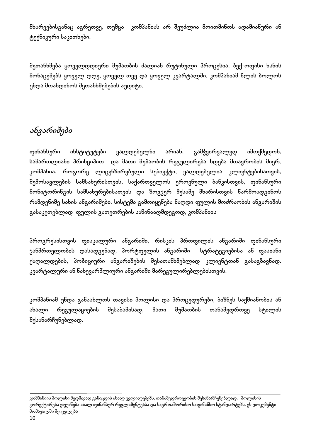მხარეებისგანაც აგრეთვე, თუმცა კომპანიას არ შეუძლია მოითმინოს ადამიანური ან ტექნიკური საკითხები.

შეთანხმება ყოველდღიური მუშაობის ძალიან რუტინული პროცესია. ბექ-ოფისი ხსნის მონაცემებს ყოველ დღე, ყოველ თვე და ყოველ კვარტალში. კომპანიამ წლის ბოლოს უნდა მოახდინოს შეთანხმებების აუდიტი.

# ანგარიშები

ფინანსური ინსტიტუტები ვალდებულნი არიან, გამჭვირვალედ იმოქმედონ, სამართლიანი პრინციპით და მათი მუშაობის რეგულირება ხდება მთავრობის მიერ. კომპანია, როგორც ლიცენზირებული სუბიექტი, ვალდებულია კლიენტებისათვის, შემოსავლების სამსახურისთვის, საქართველოს ეროვნული ბანკისთვის, ფინანსური მონიტორინგის სამსახურებისათვის და ზოგჯერ მესამე მხარისთვის წარმოადგინოს რამდენიმე სახის ანგარიშები. სისტემა გამოიყენება ნაღდი ფულის მოძრაობის ანგარიშის გასაკეთებლად ფულის გათეთრების საწინააღმდეგოდ, კომპანიის

პროგრესისთვის ფისკალური ანგარიში, რისკის პროფილის ანგარიში ფინანსური ჯანმრთელობის დასადგენად, პორტფელის ანგარიში სტრატეგიებისა ან ფასიანი ქაღალდების, პოზიციური ანგარიშების შესათანხმებლად კლიენტთან გასაგზავნად. კვარტალური ან ნახევარწლიური ანგარიში მარეგულირებლებისთვის.

კომპანიამ უნდა განაახლოს თავისი პოლისი და პროცედურები, ბიზნეს საქმიანობის ან ახალი რეგულაციების შესაბამისად, მათი მუშაობის თანამედროვე სტილის შესანარჩუნებლად.

კომპანიის პოლისი მუდმივად განიცდის ახალ ცვლილებებს, თანამედროვეობის შესანარჩუნებლად. პოლისის კორექტირება ეფუძნება ახალ ფინანსურ რეგლამენტებსა და საერთაშორისო საფინანსო სტანდარტებს. ეს დოკუმენტი მომავალში შეიცვლება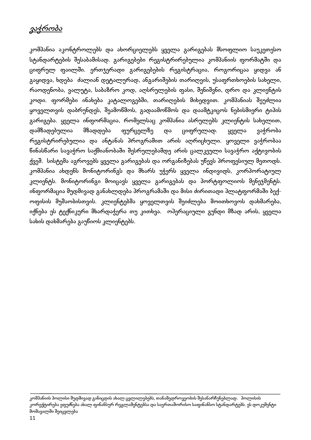# ვაჭრობა

კომპანია აკონტროლებს და ახორციელებს ყველა გარიგებას მსოფლიო საუკეთესო სტანდარტების შესაბამისად. გარიგებები რეგისტრირებულია კომპანიის ფორმატში და ციფრულ ფაილში. ერთჯერადი გარიგებების რეგისტრაცია, როგორიცაა ყიდვა ან გაყიდვა, ხდება ძალიან დეტალურად, ანგარიშების თარიღეის, უსაფრთხოების სახელი, რაოდენობა, ვალუტა, საბაზრო კოდ, აღსრულების ფასი, შენიშვნი, დრო და კლიენტის კოდი. ფორმები ინახება კატალოგებში, თარიღების მიხედვით. კომპანიას შეუძლია ყოველთვის დაბრუნდეს, შეამოწმოს, გადაამოწმოს და დაამტკიცოს ნებისმიერი ტიპის გარიგება. ყველა ინფორმაცია, რომელსაც კომპანია ასრულებს კლიენტის სახელით, დამზადებულია მზადდება ფურცელზე და ციფრულად. ყველა ვაჭრობა რეგისტრირებულია და ანტანას პროგრამით არის აღრიცხული. ყოველი ვაჭრობაა წინასწარი სავაჭრო საქმიანობაში შესრულებამდე არის ცალკეული სავაჭრო აქტივობის ქვეშ. სისტემა აგროვებს ყველა გარიგებას და ორგანიზებას უწევს პროფესიულ მეთოდს. კომპანია ახდენს მონიტორინგს და მხარს უჭერს ყველა ინდივიდს, კორპორატიულ კლიენტს. მონიტორინგი მოიცავს ყველა გარიგებას და პორტფოლიოს მენეჯმენტს. ინფორმაცია მუდმივად განახლდება პროგრამაში და მისი ძირითადი პლატფორმაში ბექოფისის მუშაობისთვის. კლიენტებმა ყოველთვის შეიძლება მოითხოვოს დახმარება, იქნება ეს ტექნიკური მხარდაჭერა თუ კითხვა. ოპერაციული გუნდი მზად არის, ყველა სახის დახმარება გაუწიოს კლიენტებს.

კომპანიის პოლისი მუდმივად განიცდის ახალ ცვლილებებს, თანამედროვეობის შესანარჩუნებლად. პოლისის კორექტირება ეფუძნება ახალ ფინანსურ რეგლამენტებსა და საერთაშორისო საფინანსო სტანდარტებს. ეს დოკუმენტი მომავალში შეიცვლება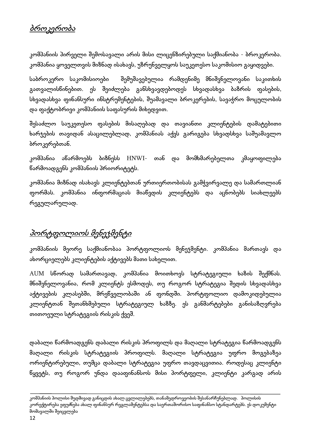# ბროკერობა

კომპანიის პირველი შემოსავალი არის მისი ლიცენზირებული საქმიანობა - ბროკერობა. კომპანია ყოველთვის მიზნად ისახავს, უზრუნველყოს საუკეთესო საკომისიო გაყიდვები.

საბროკერო საკომისიოები შემუშავებულია რამდენიმე მნიშვნელოვანი საკითხის გათვალისწინებით. ეს შეიძლება განსხვავდებოდეს სხვადასხვა ბაზრის ფასების, სხვადასხვა ფინანსური ინსტრუმენტების, შუამავალი ბროკერების, სავაჭრო მოცულობის და ფაქტობრივი კომპანიის საფასურის მიხედვით.

შესაძლო საუკეთესო ფასების მისაღებად და თავიანთი კლიენტების დამატებითი ხარჯების თავიდან ასაცილებლად, კომპანიას აქვს გარიგება სხვადსხვა საშუამავლო ბროკერებთან.

კომპანია აწარმოებს ბიზნესს HNWI- თან და მომხმარებელთა კმაყოფილება წარმოადგენს კომპანიის პრიორიტეტს.

კომპანია მიზნად ისახავს კლიენტებთან ურთიერთობისას გამჭვირვალე და სამართლიან ფორმას. კომპანია ინფორმაციას მიაწვდის კლიენტებს და აცნობებს სიახლეებს რეგულარულად.

# პორტფოლიოს მენეჯმენტი

კომპანიის მეორე საქმიანობაა პორტფოლიოს მენეჯმენტი. კომპანია მართავს და ახორციელებს კლიენტების აქტივებს მათი სახელით.

AUM სწორად სამართავად, კომპანია მოითხოვს სტრატეგიული ხაზის შექმნას. მნიშვნელოვანია, რომ კლიენტს ესმოდეს, თუ როგორ სტრატეგია შედის სხვადასხვა აქტივების კლასებში, მრეწველობაში ან ფონდში. პორტფოლიო დამოკიდებულია კლიენტთან შეთანხმებული სტრატეგიულ ხაზზე. ეს განმარტებები განისაზღვრება თითოეული სტრატეგიის რისკის ქვეშ.

დაბალი წარმოადგენს დაბალი რისკის პროფილს და მაღალი სტრატეგია წარმოადგენს მაღალი რისკის სტრატეგიის პროფილს. მაღალი სტრატეგია უფრო მოგებაზეა ორიენტირებული, თუმცა დაბალი სტრატეგია უფრო თავდაცვითია. როდესაც კლიენტი წყვეტს, თუ როგორ უნდა დააფინანსოს მისი პორტფელი, კლიენტი კარგად არის

კომპანიის პოლისი მუდმივად განიცდის ახალ ცვლილებებს, თანამედროვეობის შესანარჩუნებლად. პოლისის კორექტირება ეფუძნება ახალ ფინანსურ რეგლამენტებსა და საერთაშორისო საფინანსო სტანდარტებს. ეს დოკუმენტი მომავალში შეიცვლება